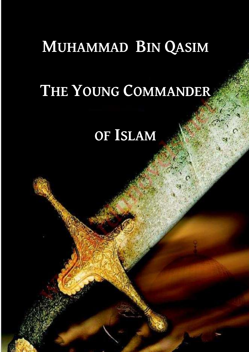## **MUHAMMAD BIN QASIM**

# THE YOUNG COMMANDER

## OF ISLAM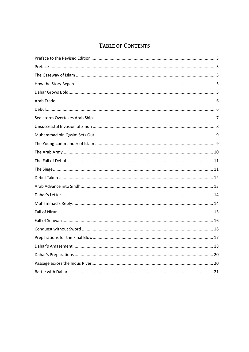## TABLE OF CONTENTS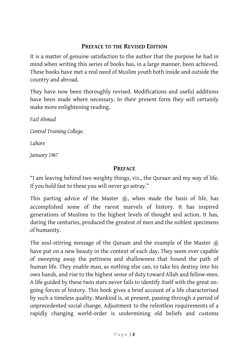### **PREFACE TO THE REVISED EDITION**

<span id="page-4-0"></span>It is a matter of genuine satisfaction to the author that the purpose he had in mind when writing this series of books has, in a large manner, been achieved. These books have met a real need of Muslim youth both inside and outside the country and abroad.

They have now been thoroughly revised. Modifications and useful additions have been made where necessary. In their present form they will certainly make more enlightening reading.

*Fazl Ahmad*

*Central Training College.*

*Lahore*

*January 1967*

## **PREFACE**

<span id="page-4-1"></span>"I am leaving behind two weighty things, viz., the Quraan and my way of life. If you hold fast to these you will never go astray."

This parting advice of the Master  $\ddot{\mathcal{B}}$ , when made the basis of life, has accomplished some of the rarest marvels of history. It has inspired generations of Muslims to the highest levels of thought and action. It has, during the centuries, produced the greatest of men and the noblest specimens of humanity.

The soul-stirring message of the Quraan and the example of the Master have put on a new beauty in the context of each day. They seem ever capable of sweeping away the pettiness and shallowness that hound the path of human life. They enable man, as nothing else can, to take his destiny into his own hands, and rise to the highest sense of duty toward Allah and fellow-men. A life guided by these twin stars never fails to identify itself with the great ongoing forces of history. This book gives a brief account of a life characterised by such a timeless quality. Mankind is, at present, passing through a period of unprecedented social change. Adjustment to the relentless requirements of a rapidly changing world-order is undermining old beliefs and customs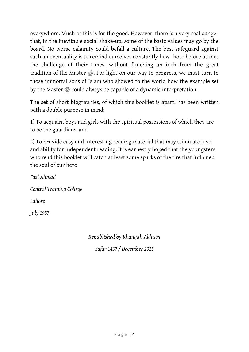everywhere. Much of this is for the good. However, there is a very real danger that, in the inevitable social shake-up, some of the basic values may go by the board. No worse calamity could befall a culture. The best safeguard against such an eventuality is to remind ourselves constantly how those before us met the challenge of their times, without flinching an inch from the great tradition of the Master . For light on our way to progress, we must turn to those immortal sons of Islam who showed to the world how the example set by the Master  $\triangleq$  could always be capable of a dynamic interpretation.

The set of short biographies, of which this booklet is apart, has been written with a double purpose in mind:

1) To acquaint boys and girls with the spiritual possessions of which they are to be the guardians, and

2) To provide easy and interesting reading material that may stimulate love and ability for independent reading. It is earnestly hoped that the youngsters who read this booklet will catch at least some sparks of the fire that inflamed the soul of our hero.

*Fazl Ahmad Central Training College Lahore July 1957*

*Republished by Khanqah Akhtari*

*Safar 1437 / December 2015*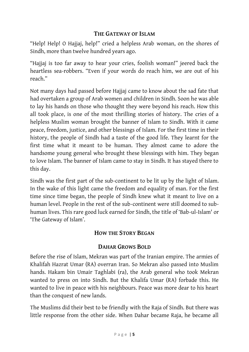#### **THE GATEWAY OF ISLAM**

<span id="page-6-0"></span>"Help! Help! O Hajjaj, help!" cried a helpless Arab woman, on the shores of Sindh, more than twelve hundred years ago.

"Hajjaj is too far away to hear your cries, foolish woman!" jeered back the heartless sea-robbers. "Even if your words do reach him, we are out of his reach."

Not many days had passed before Hajjaj came to know about the sad fate that had overtaken a group of Arab women and children in Sindh. Soon he was able to lay his hands on those who thought they were beyond his reach. How this all took place, is one of the most thrilling stories of history. The cries of a helpless Muslim woman brought the banner of Islam to Sindh. With it came peace, freedom, justice, and other blessings of Islam. For the first time in their history, the people of Sindh had a taste of the good life. They learnt for the first time what it meant to be human. They almost came to adore the handsome young general who brought these blessings with him. They began to love Islam. The banner of Islam came to stay in Sindh. It has stayed there to this day.

Sindh was the first part of the sub-continent to be lit up by the light of Islam. In the wake of this light came the freedom and equality of man. For the first time since time began, the people of Sindh knew what it meant to live on a human level. People in the rest of the sub-continent were still doomed to subhuman lives. This rare good luck earned for Sindh, the title of 'Bab-ul-Islam' or 'The Gateway of Islam'.

## **HOW THE STORY BEGAN**

## **DAHAR GROWS BOLD**

<span id="page-6-2"></span><span id="page-6-1"></span>Before the rise of Islam, Mekran was part of the Iranian empire. The armies of Khalifah Hazrat Umar (RA) overran Iran. So Mekran also passed into Muslim hands. Hakam bin Umair Taghlabi (ra), the Arab general who took Mekran wanted to press on into Sindh. But the Khalifa Umar (RA) forbade this. He wanted to live in peace with his neighbours. Peace was more dear to his heart than the conquest of new lands.

The Muslims did their best to be friendly with the Raja of Sindh. But there was little response from the other side. When Dahar became Raja, he became all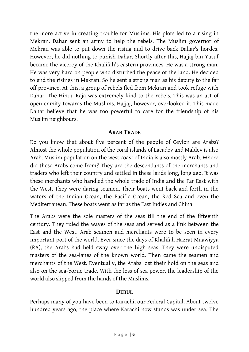the more active in creating trouble for Muslims. His plots led to a rising in Mekran. Dahar sent an army to help the rebels. The Muslim governor of Mekran was able to put down the rising and to drive back Dahar's hordes. However, he did nothing to punish Dahar. Shortly after this, Hajjaj bin Yusuf became the viceroy of the Khalifah's eastern provinces. He was a strong man. He was very hard on people who disturbed the peace of the land. He decided to end the risings in Mekran. So he sent a strong man as his deputy to the far off province. At this, a group of rebels fled from Mekran and took refuge with Dahar. The Hindu Raja was extremely kind to the rebels. This was an act of open enmity towards the Muslims. Hajjaj, however, overlooked it. This made Dahar believe that he was too powerful to care for the friendship of his Muslim neighbours.

## **ARAB TRADE**

<span id="page-7-0"></span>Do you know that about five percent of the people of Ceylon are Arabs? Almost the whole population of the coral islands of Lacadev and Maldev is also Arab. Muslim population on the west coast of India is also mostly Arab. Where did these Arabs come from? They are the descendants of the merchants and traders who left their country and settled in these lands long, long ago. It was these merchants who handled the whole trade of India and the Far East with the West. They were daring seamen. Their boats went back and forth in the waters of the Indian Ocean, the Pacific Ocean, the Red Sea and even the Mediterranean. These boats went as far as the East Indies and China.

The Arabs were the sole masters of the seas till the end of the fifteenth century. They ruled the waves of the seas and served as a link between the East and the West. Arab seamen and merchants were to be seen in every important port of the world. Ever since the days of Khalifah Hazrat Muawiyya (RA), the Arabs had held sway over the high seas. They were undisputed masters of the sea-lanes of the known world. Then came the seamen and merchants of the West. Eventually, the Arabs lost their hold on the seas and also on the sea-borne trade. With the loss of sea power, the leadership of the world also slipped from the hands of the Muslims.

#### **DEBUL**

<span id="page-7-1"></span>Perhaps many of you have been to Karachi, our Federal Capital. About twelve hundred years ago, the place where Karachi now stands was under sea. The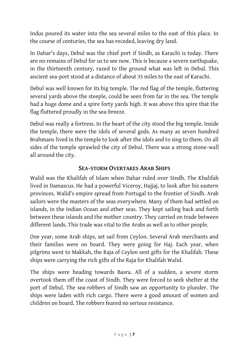Indus poured its water into the sea several miles to the east of this place. In the course of centuries, the sea has receded, leaving dry land.

In Dahar's days, Debul was the chief port if Sindh, as Karachi is today. There are no remains of Debul for us to see now. This is because a severe earthquake, in the thirteenth century, razed to the ground what was left in Debul. This ancient sea-port stood at a distance of about 35 miles to the east of Karachi.

Debul was well known for its big temple. The red flag of the temple, fluttering several yards above the steeple, could be seen from far in the sea. The temple had a huge dome and a spire forty yards high. It was above this spire that the flag fluttered proudly in the sea-breeze.

Debul was really a fortress. In the heart of the city stood the big temple. Inside the temple, there were the idols of several gods. As many as seven hundred Brahmans lived in the temple to look after the idols and to sing to them. On all sides of the temple sprawled the city of Debul. There was a strong stone-wall all around the city.

## **SEA-STORM OVERTAKES ARAB SHIPS**

<span id="page-8-0"></span>Walid was the Khalifah of Islam when Dahar ruled over Sindh. The Khalifah lived in Damascus. He had a powerful Viceroy, Hajjaj, to look after his eastern provinces. Walid's empire spread from Portugal to the frontier of Sindh. Arab sailors were the masters of the seas everywhere. Many of them had settled on islands, in the Indian Ocean and other seas. They kept sailing back and forth between these islands and the mother country. They carried on trade between different lands. This trade was vital to the Arabs as well as to other people.

One year, some Arab ships, set sail from Ceylon. Several Arab merchants and their families were on board. They were going for Haj. Each year, when pilgrims went to Makkah, the Raja of Ceylon sent gifts for the Khalifah. These ships were carrying the rich gifts of the Raja for Khalifah Walid.

The ships were heading towards Basra. All of a sudden, a severe storm overtook them off the coast of Sindh. They were forced to seek shelter at the port of Debul. The sea-robbers of Sindh saw an opportunity to plunder. The ships were laden with rich cargo. There were a good amount of women and children on board. The robbers feared no serious resistance.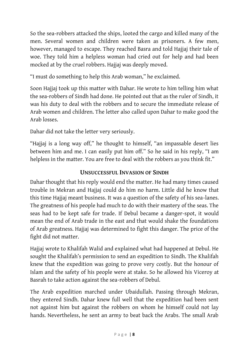So the sea-robbers attacked the ships, looted the cargo and killed many of the men. Several women and children were taken as prisoners. A few men, however, managed to escape. They reached Basra and told Hajjaj their tale of woe. They told him a helpless woman had cried out for help and had been mocked at by the cruel robbers. Hajjaj was deeply moved.

"I must do something to help this Arab woman," he exclaimed.

Soon Hajjaj took up this matter with Dahar. He wrote to him telling him what the sea-robbers of Sindh had done. He pointed out that as the ruler of Sindh, it was his duty to deal with the robbers and to secure the immediate release of Arab women and children. The letter also called upon Dahar to make good the Arab losses.

Dahar did not take the letter very seriously.

"Hajjaj is a long way off," he thought to himself, "an impassable desert lies between him and me. I can easily put him off." So he said in his reply, "I am helpless in the matter. You are free to deal with the robbers as you think fit."

## **UNSUCCESSFUL INVASION OF SINDH**

<span id="page-9-0"></span>Dahar thought that his reply would end the matter. He had many times caused trouble in Mekran and Hajjaj could do him no harm. Little did he know that this time Hajjaj meant business. It was a question of the safety of his sea-lanes. The greatness of his people had much to do with their mastery of the seas. The seas had to be kept safe for trade. If Debul became a danger-spot, it would mean the end of Arab trade in the east and that would shake the foundations of Arab greatness. Hajjaj was determined to fight this danger. The price of the fight did not matter.

Hajjaj wrote to Khalifah Walid and explained what had happened at Debul. He sought the Khalifah's permission to send an expedition to Sindh. The Khalifah knew that the expedition was going to prove very costly. But the honour of Islam and the safety of his people were at stake. So he allowed his Viceroy at Basrah to take action against the sea-robbers of Debul.

The Arab expedition marched under Ubaidullah. Passing through Mekran, they entered Sindh. Dahar knew full well that the expedition had been sent not against him but against the robbers on whom he himself could not lay hands. Nevertheless, he sent an army to beat back the Arabs. The small Arab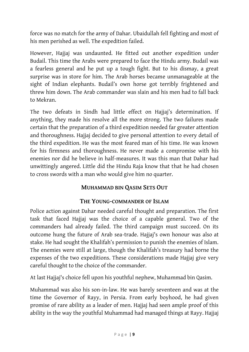force was no match for the army of Dahar. Ubaidullah fell fighting and most of his men perished as well. The expedition failed.

However, Hajjaj was undaunted. He fitted out another expedition under Budail. This time the Arabs were prepared to face the Hindu army. Budail was a fearless general and he put up a tough fight. But to his dismay, a great surprise was in store for him. The Arab horses became unmanageable at the sight of Indian elephants. Budail's own horse got terribly frightened and threw him down. The Arab commander was slain and his men had to fall back to Mekran.

The two defeats in Sindh had little effect on Hajjaj's determination. If anything, they made his resolve all the more strong. The two failures made certain that the preparation of a third expedition needed far greater attention and thoroughness. Hajjaj decided to give personal attention to every detail of the third expedition. He was the most feared man of his time. He was known for his firmness and thoroughness. He never made a compromise with his enemies nor did he believe in half-measures. It was this man that Dahar had unwittingly angered. Little did the Hindu Raja know that that he had chosen to cross swords with a man who would give him no quarter.

## **MUHAMMAD BIN QASIM SETS OUT**

## **THE YOUNG-COMMANDER OF ISLAM**

<span id="page-10-1"></span><span id="page-10-0"></span>Police action against Dahar needed careful thought and preparation. The first task that faced Hajjaj was the choice of a capable general. Two of the commanders had already failed. The third campaign must succeed. On its outcome hung the future of Arab sea-trade. Hajjaj's own honour was also at stake. He had sought the Khalifah's permission to punish the enemies of Islam. The enemies were still at large, though the Khalifah's treasury had borne the expenses of the two expeditions. These considerations made Hajjaj give very careful thought to the choice of the commander.

At last Hajjaj's choice fell upon his youthful nephew, Muhammad bin Qasim.

Muhammad was also his son-in-law. He was barely seventeen and was at the time the Governor of Rayy, in Persia. From early boyhood, he had given promise of rare ability as a leader of men. Hajjaj had seen ample proof of this ability in the way the youthful Muhammad had managed things at Rayy. Hajjaj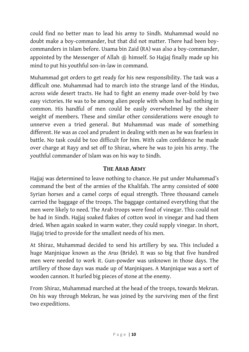could find no better man to lead his army to Sindh. Muhammad would no doubt make a boy-commander, but that did not matter. There had been boycommanders in Islam before. Usama bin Zaid (RA) was also a boy-commander, appointed by the Messenger of Allah himself. So Hajjaj finally made up his mind to put his youthful son-in-law in command.

Muhammad got orders to get ready for his new responsibility. The task was a difficult one. Muhammad had to march into the strange land of the Hindus, across wide desert tracts. He had to fight an enemy made over-bold by two easy victories. He was to be among alien people with whom he had nothing in common. His handful of men could be easily overwhelmed by the sheer weight of members. These and similar other considerations were enough to unnerve even a tried general. But Muhammad was made of something different. He was as cool and prudent in dealing with men as he was fearless in battle. No task could be too difficult for him. With calm confidence he made over charge at Rayy and set off to Shiraz, where he was to join his army. The youthful commander of Islam was on his way to Sindh.

## **THE ARAB ARMY**

<span id="page-11-0"></span>Hajjaj was determined to leave nothing to chance. He put under Muhammad's command the best of the armies of the Khalifah. The army consisted of 6000 Syrian horses and a camel corps of equal strength. Three thousand camels carried the baggage of the troops. The baggage contained everything that the men were likely to need. The Arab troops were fond of vinegar. This could not be had in Sindh. Hajjaj soaked flakes of cotton wool in vinegar and had them dried. When again soaked in warm water, they could supply vinegar. In short, Hajjaj tried to provide for the smallest needs of his men.

At Shiraz, Muhammad decided to send his artillery by sea. This included a huge Manjnique known as the *Arus* (Bride). It was so big that five hundred men were needed to work it. Gun-powder was unknown in those days. The artillery of those days was made up of Manjniques. A Manjnique was a sort of wooden cannon. It hurled big pieces of stone at the enemy.

From Shiraz, Muhammad marched at the head of the troops, towards Mekran. On his way through Mekran, he was joined by the surviving men of the first two expeditions.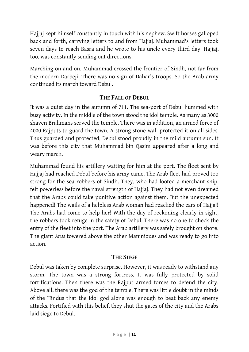Hajjaj kept himself constantly in touch with his nephew. Swift horses galloped back and forth, carrying letters to and from Hajjaj. Muhammad's letters took seven days to reach Basra and he wrote to his uncle every third day. Hajjaj, too, was constantly sending out directions.

Marching on and on, Muhammad crossed the frontier of Sindh, not far from the modern Darbeji. There was no sign of Dahar's troops. So the Arab army continued its march toward Debul.

#### **THE FALL OF DEBUL**

<span id="page-12-0"></span>It was a quiet day in the autumn of 711. The sea-port of Debul hummed with busy activity. In the middle of the town stood the idol temple. As many as 3000 shaven Brahmans served the temple. There was in addition, an armed force of 4000 Rajputs to guard the town. A strong stone wall protected it on all sides. Thus guarded and protected, Debul stood proudly in the mild autumn sun. It was before this city that Muhammad bin Qasim appeared after a long and weary march.

Muhammad found his artillery waiting for him at the port. The fleet sent by Hajjaj had reached Debul before his army came. The Arab fleet had proved too strong for the sea-robbers of Sindh. They, who had looted a merchant ship, felt powerless before the naval strength of Hajjaj. They had not even dreamed that the Arabs could take punitive action against them. But the unexpected happened! The wails of a helpless Arab woman had reached the ears of Hajjaj! The Arabs had come to help her! With the day of reckoning clearly in sight, the robbers took refuge in the safety of Debul. There was no one to check the entry of the fleet into the port. The Arab artillery was safely brought on shore. The giant *Arus* towered above the other Manjniques and was ready to go into action.

## **THE SIEGE**

<span id="page-12-1"></span>Debul was taken by complete surprise. However, it was ready to withstand any storm. The town was a strong fortress. It was fully protected by solid fortifications. Then there was the Rajput armed forces to defend the city. Above all, there was the god of the temple. There was little doubt in the minds of the Hindus that the idol god alone was enough to beat back any enemy attacks. Fortified with this belief, they shut the gates of the city and the Arabs laid siege to Debul.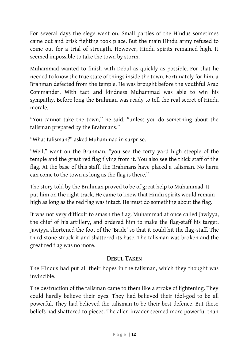For several days the siege went on. Small parties of the Hindus sometimes came out and brisk fighting took place. But the main Hindu army refused to come out for a trial of strength. However, Hindu spirits remained high. It seemed impossible to take the town by storm.

Muhammad wanted to finish with Debul as quickly as possible. For that he needed to know the true state of things inside the town. Fortunately for him, a Brahman defected from the temple. He was brought before the youthful Arab Commander. With tact and kindness Muhammad was able to win his sympathy. Before long the Brahman was ready to tell the real secret of Hindu morale.

"You cannot take the town," he said, "unless you do something about the talisman prepared by the Brahmans."

"What talisman?" asked Muhammad in surprise.

"Well," went on the Brahman, "you see the forty yard high steeple of the temple and the great red flag flying from it. You also see the thick staff of the flag. At the base of this staff, the Brahmans have placed a talisman. No harm can come to the town as long as the flag is there."

The story told by the Brahman proved to be of great help to Muhammad. It put him on the right track. He came to know that Hindu spirits would remain high as long as the red flag was intact. He must do something about the flag.

It was not very difficult to smash the flag. Muhammad at once called Jawiyya, the chief of his artillery, and ordered him to make the flag-staff his target. Jawiyya shortened the foot of the 'Bride' so that it could hit the flag-staff. The third stone struck it and shattered its base. The talisman was broken and the great red flag was no more.

## **DEBUL TAKEN**

<span id="page-13-0"></span>The Hindus had put all their hopes in the talisman, which they thought was invincible.

The destruction of the talisman came to them like a stroke of lightening. They could hardly believe their eyes. They had believed their idol-god to be all powerful. They had believed the talisman to be their best defence. But these beliefs had shattered to pieces. The alien invader seemed more powerful than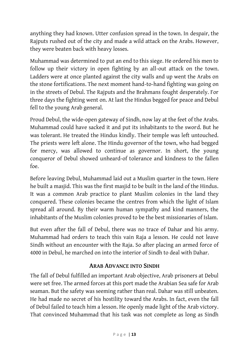anything they had known. Utter confusion spread in the town. In despair, the Rajputs rushed out of the city and made a wild attack on the Arabs. However, they were beaten back with heavy losses.

Muhammad was determined to put an end to this siege. He ordered his men to follow up their victory in open fighting by an all-out attack on the town. Ladders were at once planted against the city walls and up went the Arabs on the stone fortifications. The next moment hand-to-hand fighting was going on in the streets of Debul. The Rajputs and the Brahmans fought desperately. For three days the fighting went on. At last the Hindus begged for peace and Debul fell to the young Arab general.

Proud Debul, the wide-open gateway of Sindh, now lay at the feet of the Arabs. Muhammad could have sacked it and put its inhabitants to the sword. But he was tolerant. He treated the Hindus kindly. Their temple was left untouched. The priests were left alone. The Hindu governor of the town, who had begged for mercy, was allowed to continue as governor. In short, the young conqueror of Debul showed unheard-of tolerance and kindness to the fallen foe.

Before leaving Debul, Muhammad laid out a Muslim quarter in the town. Here he built a masjid. This was the first masjid to be built in the land of the Hindus. It was a common Arab practice to plant Muslim colonies in the land they conquered. These colonies became the centres from which the light of Islam spread all around. By their warm human sympathy and kind manners, the inhabitants of the Muslim colonies proved to be the best missionaries of Islam.

But even after the fall of Debul, there was no trace of Dahar and his army. Muhammad had orders to teach this vain Raja a lesson. He could not leave Sindh without an encounter with the Raja. So after placing an armed force of 4000 in Debul, he marched on into the interior of Sindh to deal with Dahar.

## **ARAB ADVANCE INTO SINDH**

<span id="page-14-0"></span>The fall of Debul fulfilled an important Arab objective, Arab prisoners at Debul were set free. The armed forces at this port made the Arabian Sea safe for Arab seaman. But the safety was seeming rather than real. Dahar was still unbeaten. He had made no secret of his hostility toward the Arabs. In fact, even the fall of Debul failed to teach him a lesson. He openly made light of the Arab victory. That convinced Muhammad that his task was not complete as long as Sindh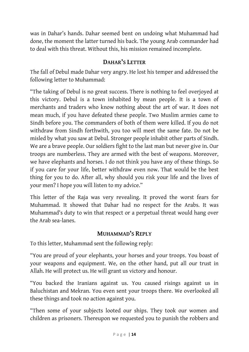was in Dahar's hands. Dahar seemed bent on undoing what Muhammad had done, the moment the latter turned his back. The young Arab commander had to deal with this threat. Without this, his mission remained incomplete.

## **DAHAR'S LETTER**

<span id="page-15-0"></span>The fall of Debul made Dahar very angry. He lost his temper and addressed the following letter to Muhammad:

"The taking of Debul is no great success. There is nothing to feel overjoyed at this victory. Debul is a town inhabited by mean people. It is a town of merchants and traders who know nothing about the art of war. It does not mean much, if you have defeated these people. Two Muslim armies came to Sindh before you. The commanders of both of them were killed. If you do not withdraw from Sindh forthwith, you too will meet the same fate. Do not be misled by what you saw at Debul. Stronger people inhabit other parts of Sindh. We are a brave people. Our soldiers fight to the last man but never give in. Our troops are numberless. They are armed with the best of weapons. Moreover, we have elephants and horses. I do not think you have any of these things. So if you care for your life, better withdraw even now. That would be the best thing for you to do. After all, why should you risk your life and the lives of your men? I hope you will listen to my advice."

This letter of the Raja was very revealing. It proved the worst fears for Muhammad. It showed that Dahar had no respect for the Arabs. It was Muhammad's duty to win that respect or a perpetual threat would hang over the Arab sea-lanes.

## **MUHAMMAD'S REPLY**

<span id="page-15-1"></span>To this letter, Muhammad sent the following reply:

"You are proud of your elephants, your horses and your troops. You boast of your weapons and equipment. We, on the other hand, put all our trust in Allah. He will protect us. He will grant us victory and honour.

"You backed the Iranians against us. You caused risings against us in Baluchistan and Mekran. You even sent your troops there. We overlooked all these things and took no action against you.

"Then some of your subjects looted our ships. They took our women and children as prisoners. Thereupon we requested you to punish the robbers and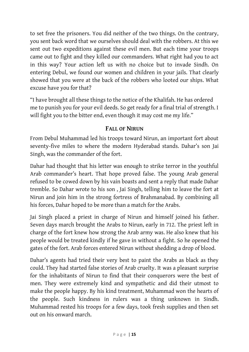to set free the prisoners. You did neither of the two things. On the contrary, you sent back word that we ourselves should deal with the robbers. At this we sent out two expeditions against these evil men. But each time your troops came out to fight and they killed our commanders. What right had you to act in this way? Your action left us with no choice but to invade Sindh. On entering Debul, we found our women and children in your jails. That clearly showed that you were at the back of the robbers who looted our ships. What excuse have you for that?

"I have brought all these things to the notice of the Khalifah. He has ordered me to punish you for your evil deeds. So get ready for a final trial of strength. I will fight you to the bitter end, even though it may cost me my life."

#### **FALL OF NIRUN**

<span id="page-16-0"></span>From Debul Muhammad led his troops toward Nirun, an important fort about seventy-five miles to where the modern Hyderabad stands. Dahar's son Jai Singh, was the commander of the fort.

Dahar had thought that his letter was enough to strike terror in the youthful Arab commander's heart. That hope proved false. The young Arab general refused to be cowed down by his vain boasts and sent a reply that made Dahar tremble. So Dahar wrote to his son , Jai Singh, telling him to leave the fort at Nirun and join him in the strong fortress of Brahmanabad. By combining all his forces, Dahar hoped to be more than a match for the Arabs.

Jai Singh placed a priest in charge of Nirun and himself joined his father. Seven days march brought the Arabs to Nirun, early in 712. The priest left in charge of the fort knew how strong the Arab army was. He also knew that his people would be treated kindly if he gave in without a fight. So he opened the gates of the fort. Arab forces entered Nirun without shedding a drop of blood.

Dahar's agents had tried their very best to paint the Arabs as black as they could. They had started false stories of Arab cruelty. It was a pleasant surprise for the inhabitants of Nirun to find that their conquerors were the best of men. They were extremely kind and sympathetic and did their utmost to make the people happy. By his kind treatment, Muhammad won the hearts of the people. Such kindness in rulers was a thing unknown in Sindh. Muhammad rested his troops for a few days, took fresh supplies and then set out on his onward march.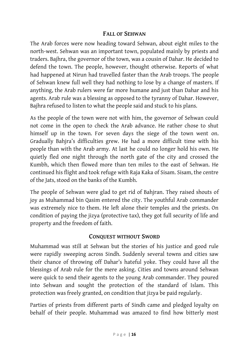#### **FALL OF SEHWAN**

<span id="page-17-0"></span>The Arab forces were now heading toward Sehwan, about eight miles to the north-west. Sehwan was an important town, populated mainly by priests and traders. Bajhra, the governor of the town, was a cousin of Dahar. He decided to defend the town. The people, however, thought otherwise. Reports of what had happened at Nirun had travelled faster than the Arab troops. The people of Sehwan knew full well they had nothing to lose by a change of masters. If anything, the Arab rulers were far more humane and just than Dahar and his agents. Arab rule was a blessing as opposed to the tyranny of Dahar. However, Bajhra refused to listen to what the people said and stuck to his plans.

As the people of the town were not with him, the governor of Sehwan could not come in the open to check the Arab advance. He rather chose to shut himself up in the town. For seven days the siege of the town went on. Gradually Bahjra's difficulties grew. He had a more difficult time with his people than with the Arab army. At last he could no longer hold his own. He quietly fled one night through the north gate of the city and crossed the Kumbh, which then flowed more than ten miles to the east of Sehwan. He continued his flight and took refuge with Raja Kaka of Sisam. Sisam, the centre of the Jats, stood on the banks of the Kumbh.

The people of Sehwan were glad to get rid of Bahjran. They raised shouts of joy as Muhammad bin Qasim entered the city. The youthful Arab commander was extremely nice to them. He left alone their temples and the priests. On condition of paying the jizya (protective tax), they got full security of life and property and the freedom of faith.

#### **CONQUEST WITHOUT SWORD**

<span id="page-17-1"></span>Muhammad was still at Sehwan but the stories of his justice and good rule were rapidly sweeping across Sindh. Suddenly several towns and cities saw their chance of throwing off Dahar's hateful yoke. They could have all the blessings of Arab rule for the mere asking. Cities and towns around Sehwan were quick to send their agents to the young Arab commander. They poured into Sehwan and sought the protection of the standard of Islam. This protection was freely granted, on condition that jizya be paid regularly.

Parties of priests from different parts of Sindh came and pledged loyalty on behalf of their people. Muhammad was amazed to find how bitterly most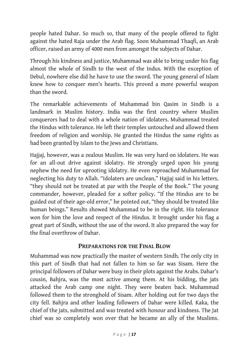people hated Dahar. So much so, that many of the people offered to fight against the hated Raja under the Arab flag. Soon Muhammad Thaqfi, an Arab officer, raised an army of 4000 men from amongst the subjects of Dahar.

Through his kindness and justice, Muhammad was able to bring under his flag almost the whole of Sindh to the west of the Indus. With the exception of Debul, nowhere else did he have to use the sword. The young general of Islam knew how to conquer men's hearts. This proved a more powerful weapon than the sword.

The remarkable achievements of Muhammad bin Qasim in Sindh is a landmark in Muslim history. India was the first country where Muslim conquerors had to deal with a whole nation of idolaters. Muhammad treated the Hindus with tolerance. He left their temples untouched and allowed them freedom of religion and worship. He granted the Hindus the same rights as had been granted by Islam to the Jews and Christians.

Hajjaj, however, was a zealous Muslim. He was very hard on idolaters. He was for an all-out drive against idolatry. He strongly urged upon his young nephew the need for uprooting idolatry. He even reproached Muhammad for neglecting his duty to Allah. "Idolaters are unclean," Hajjaj said in his letters, "they should not be treated at par with the People of the Book." The young commander, however, pleaded for a softer policy. "If the Hindus are to be guided out of their age-old error," he pointed out, "they should be treated like human beings." Results showed Muhammad to be in the right. His tolerance won for him the love and respect of the Hindus. It brought under his flag a great part of Sindh, without the use of the sword. It also prepared the way for the final overthrow of Dahar.

#### **PREPARATIONS FOR THE FINAL BLOW**

<span id="page-18-0"></span>Muhammad was now practically the master of western Sindh. The only city in this part of Sindh that had not fallen to him so far was Sisam. Here the principal followers of Dahar were busy in their plots against the Arabs. Dahar's cousin, Bahjra, was the most active among them. At his bidding, the jats attacked the Arab camp one night. They were beaten back. Muhammad followed them to the stronghold of Sisam. After holding out for two days the city fell. Bahjra and other leading followers of Dahar were killed. Kaka, the chief of the jats, submitted and was treated with honour and kindness. The Jat chief was so completely won over that he became an ally of the Muslims.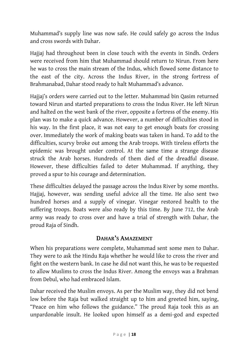Muhammad's supply line was now safe. He could safely go across the Indus and cross swords with Dahar.

Hajjaj had throughout been in close touch with the events in Sindh. Orders were received from him that Muhammad should return to Nirun. From here he was to cross the main stream of the Indus, which flowed some distance to the east of the city. Across the Indus River, in the strong fortress of Brahmanabad, Dahar stood ready to halt Muhammad's advance.

Hajjaj's orders were carried out to the letter. Muhammad bin Qasim returned toward Nirun and started preparations to cross the Indus River. He left Nirun and halted on the west bank of the river, opposite a fortress of the enemy. His plan was to make a quick advance. However, a number of difficulties stood in his way. In the first place, it was not easy to get enough boats for crossing over. Immediately the work of making boats was taken in hand. To add to the difficulties, scurvy broke out among the Arab troops. With tireless efforts the epidemic was brought under control. At the same time a strange disease struck the Arab horses. Hundreds of them died of the dreadful disease. However, these difficulties failed to deter Muhammad. If anything, they proved a spur to his courage and determination.

These difficulties delayed the passage across the Indus River by some months. Hajjaj, however, was sending useful advice all the time. He also sent two hundred horses and a supply of vinegar. Vinegar restored health to the suffering troops. Boats were also ready by this time. By June 712, the Arab army was ready to cross over and have a trial of strength with Dahar, the proud Raja of Sindh.

## **DAHAR'S AMAZEMENT**

<span id="page-19-0"></span>When his preparations were complete, Muhammad sent some men to Dahar. They were to ask the Hindu Raja whether he would like to cross the river and fight on the western bank. In case he did not want this, he was to be requested to allow Muslims to cross the Indus River. Among the envoys was a Brahman from Debul, who had embraced Islam.

Dahar received the Muslim envoys. As per the Muslim way, they did not bend low before the Raja but walked straight up to him and greeted him, saying, "Peace on him who follows the guidance." The proud Raja took this as an unpardonable insult. He looked upon himself as a demi-god and expected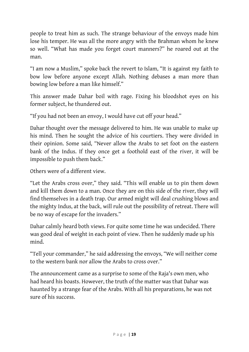people to treat him as such. The strange behaviour of the envoys made him lose his temper. He was all the more angry with the Brahman whom he knew so well. "What has made you forget court manners?" he roared out at the man.

"I am now a Muslim," spoke back the revert to Islam, "It is against my faith to bow low before anyone except Allah. Nothing debases a man more than bowing low before a man like himself."

This answer made Dahar boil with rage. Fixing his bloodshot eyes on his former subject, he thundered out.

"If you had not been an envoy, I would have cut off your head."

Dahar thought over the message delivered to him. He was unable to make up his mind. Then he sought the advice of his courtiers. They were divided in their opinion. Some said, "Never allow the Arabs to set foot on the eastern bank of the Indus. If they once get a foothold east of the river, it will be impossible to push them back."

Others were of a different view.

"Let the Arabs cross over," they said. "This will enable us to pin them down and kill them down to a man. Once they are on this side of the river, they will find themselves in a death trap. Our armed might will deal crushing blows and the mighty Indus, at the back, will rule out the possibility of retreat. There will be no way of escape for the invaders."

Dahar calmly heard both views. For quite some time he was undecided. There was good deal of weight in each point of view. Then he suddenly made up his mind.

"Tell your commander," he said addressing the envoys, "We will neither come to the western bank nor allow the Arabs to cross over."

The announcement came as a surprise to some of the Raja's own men, who had heard his boasts. However, the truth of the matter was that Dahar was haunted by a strange fear of the Arabs. With all his preparations, he was not sure of his success.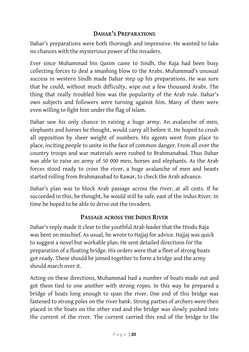## **DAHAR'S PREPARATIONS**

<span id="page-21-0"></span>Dahar's preparations were both thorough and impressive. He wanted to take no chances with the mysterious power of the invaders.

Ever since Muhammad bin Qasim came to Sindh, the Raja had been busy collecting forces to deal a smashing blow to the Arabs. Muhammad's unusual success in western Sindh made Dahar step up his preparations. He was sure that he could, without much difficulty, wipe out a few thousand Arabs. The thing that really troubled him was the popularity of the Arab rule. Dahar's own subjects and followers were turning against him. Many of them were even willing to fight him under the flag of Islam.

Dahar saw his only chance in raising a huge army. An avalanche of men, elephants and horses he thought, would carry all before it. He hoped to crush all opposition by sheer weight of numbers. His agents went from place to place, inciting people to unite in the face of common danger. From all over the country troops and war materials were rushed to Brahmanabad. Thus Dahar was able to raise an army of 50 000 men, horses and elephants. As the Arab forces stood ready to cross the river, a huge avalanche of men and beasts started rolling from Brahmanabad to Rawar, to check the Arab advance.

Dahar's plan was to block Arab passage across the river, at all costs. If he succeeded in this, he thought, he would still be safe, east of the Indus River. In time he hoped to be able to drive out the invaders.

#### **PASSAGE ACROSS THE INDUS RIVER**

<span id="page-21-1"></span>Dahar's reply made it clear to the youthful Arab leader that the Hindu Raja was bent on mischief. As usual, he wrote to Hajjaj for advice. Hajjaj was quick to suggest a novel but workable plan. He sent detailed directions for the preparation of a floating bridge. His orders were that a fleet of strong boats got ready. These should be joined together to form a bridge and the army should march over it.

Acting on these directions, Muhammad had a number of boats made out and got them tied to one another with strong ropes. In this way he prepared a bridge of boats long enough to span the river. One end of this bridge was fastened to strong poles on the river bank. Strong parties of archers were then placed in the boats on the other end and the bridge was slowly pushed into the current of the river. The current carried this end of the bridge to the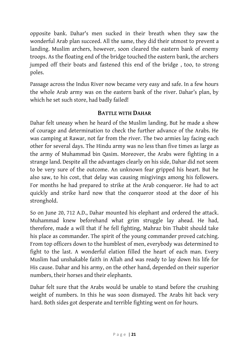opposite bank. Dahar's men sucked in their breath when they saw the wonderful Arab plan succeed. All the same, they did their utmost to prevent a landing. Muslim archers, however, soon cleared the eastern bank of enemy troops. As the floating end of the bridge touched the eastern bank, the archers jumped off their boats and fastened this end of the bridge , too, to strong poles.

Passage across the Indus River now became very easy and safe. In a few hours the whole Arab army was on the eastern bank of the river. Dahar's plan, by which he set such store, had badly failed!

#### **BATTLE WITH DAHAR**

<span id="page-22-0"></span>Dahar felt uneasy when he heard of the Muslim landing. But he made a show of courage and determination to check the further advance of the Arabs. He was camping at Rawar, not far from the river. The two armies lay facing each other for several days. The Hindu army was no less than five times as large as the army of Muhammad bin Qasim. Moreover, the Arabs were fighting in a strange land. Despite all the advantages clearly on his side, Dahar did not seem to be very sure of the outcome. An unknown fear gripped his heart. But he also saw, to his cost, that delay was causing misgivings among his followers. For months he had prepared to strike at the Arab conqueror. He had to act quickly and strike hard now that the conqueror stood at the door of his stronghold.

So on June 20, 712 A.D., Dahar mounted his elephant and ordered the attack. Muhammad knew beforehand what grim struggle lay ahead. He had, therefore, made a will that if he fell fighting, Mahraz bin Thabit should take his place as commander. The spirit of the young commander proved catching. From top officers down to the humblest of men, everybody was determined to fight to the last. A wonderful elation filled the heart of each man. Every Muslim had unshakable faith in Allah and was ready to lay down his life for His cause. Dahar and his army, on the other hand, depended on their superior numbers, their horses and their elephants.

Dahar felt sure that the Arabs would be unable to stand before the crushing weight of numbers. In this he was soon dismayed. The Arabs hit back very hard. Both sides got desperate and terrible fighting went on for hours.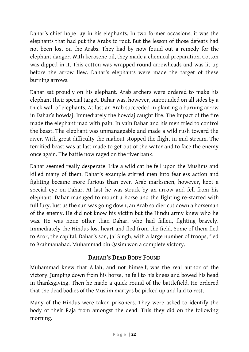Dahar's chief hope lay in his elephants. In two former occasions, it was the elephants that had put the Arabs to rout. But the lesson of those defeats had not been lost on the Arabs. They had by now found out a remedy for the elephant danger. With kerosene oil, they made a chemical preparation. Cotton was dipped in it. This cotton was wrapped round arrowheads and was lit up before the arrow flew. Dahar's elephants were made the target of these burning arrows.

Dahar sat proudly on his elephant. Arab archers were ordered to make his elephant their special target. Dahar was, however, surrounded on all sides by a thick wall of elephants. At last an Arab succeeded in planting a burning arrow in Dahar's howdaj. Immediately the howdaj caught fire. The impact of the fire made the elephant mad with pain. In vain Dahar and his men tried to control the beast. The elephant was unmanageable and made a wild rush toward the river. With great difficulty the mahout stopped the flight in mid-stream. The terrified beast was at last made to get out of the water and to face the enemy once again. The battle now raged on the river bank.

Dahar seemed really desperate. Like a wild cat he fell upon the Muslims and killed many of them. Dahar's example stirred men into fearless action and fighting became more furious than ever. Arab marksmen, however, kept a special eye on Dahar. At last he was struck by an arrow and fell from his elephant. Dahar managed to mount a horse and the fighting re-started with full fury. Just as the sun was going down, an Arab soldier cut down a horseman of the enemy. He did not know his victim but the Hindu army knew who he was. He was none other than Dahar, who had fallen, fighting bravely. Immediately the Hindus lost heart and fled from the field. Some of them fled to Aror, the capital. Dahar's son, Jai Singh, with a large number of troops, fled to Brahmanabad. Muhammad bin Qasim won a complete victory.

## **DAHAR'S DEAD BODY FOUND**

<span id="page-23-0"></span>Muhammad knew that Allah, and not himself, was the real author of the victory. Jumping down from his horse, he fell to his knees and bowed his head in thanksgiving. Then he made a quick round of the battlefield. He ordered that the dead bodies of the Muslim martyrs be picked up and laid to rest.

Many of the Hindus were taken prisoners. They were asked to identify the body of their Raja from amongst the dead. This they did on the following morning.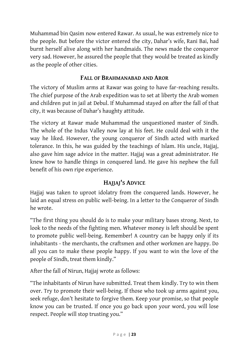Muhammad bin Qasim now entered Rawar. As usual, he was extremely nice to the people. But before the victor entered the city, Dahar's wife, Rani Bai, had burnt herself alive along with her handmaids. The news made the conqueror very sad. However, he assured the people that they would be treated as kindly as the people of other cities.

## **FALL OF BRAHMANABAD AND AROR**

<span id="page-24-0"></span>The victory of Muslim arms at Rawar was going to have far-reaching results. The chief purpose of the Arab expedition was to set at liberty the Arab women and children put in jail at Debul. If Muhammad stayed on after the fall of that city, it was because of Dahar's haughty attitude.

The victory at Rawar made Muhammad the unquestioned master of Sindh. The whole of the Indus Valley now lay at his feet. He could deal with it the way he liked. However, the young conqueror of Sindh acted with marked tolerance. In this, he was guided by the teachings of Islam. His uncle, Hajjaj, also gave him sage advice in the matter. Hajjaj was a great administrator. He knew how to handle things in conquered land. He gave his nephew the full benefit of his own ripe experience.

## **HAJJAJ'S ADVICE**

<span id="page-24-1"></span>Hajjaj was taken to uproot idolatry from the conquered lands. However, he laid an equal stress on public well-being. In a letter to the Conqueror of Sindh he wrote.

"The first thing you should do is to make your military bases strong. Next, to look to the needs of the fighting men. Whatever money is left should be spent to promote public well-being. Remember! A country can be happy only if its inhabitants - the merchants, the craftsmen and other workmen are happy. Do all you can to make these people happy. If you want to win the love of the people of Sindh, treat them kindly."

After the fall of Nirun, Hajjaj wrote as follows:

"The inhabitants of Nirun have submitted. Treat them kindly. Try to win them over. Try to promote their well-being. If those who took up arms against you, seek refuge, don't hesitate to forgive them. Keep your promise, so that people know you can be trusted. If once you go back upon your word, you will lose respect. People will stop trusting you."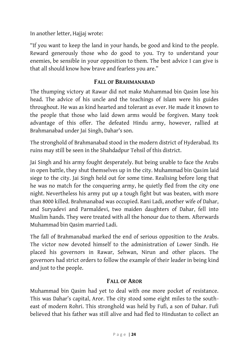In another letter, Hajjaj wrote:

"If you want to keep the land in your hands, be good and kind to the people. Reward generously those who do good to you. Try to understand your enemies, be sensible in your opposition to them. The best advice I can give is that all should know how brave and fearless you are."

#### **FALL OF BRAHMANABAD**

<span id="page-25-0"></span>The thumping victory at Rawar did not make Muhammad bin Qasim lose his head. The advice of his uncle and the teachings of Islam were his guides throughout. He was as kind hearted and tolerant as ever. He made it known to the people that those who laid down arms would be forgiven. Many took advantage of this offer. The defeated Hindu army, however, rallied at Brahmanabad under Jai Singh, Dahar's son.

The stronghold of Brahmanabad stood in the modern district of Hyderabad. Its ruins may still be seen in the Shahdadpur Tehsil of this district.

Jai Singh and his army fought desperately. But being unable to face the Arabs in open battle, they shut themselves up in the city. Muhammad bin Qasim laid siege to the city. Jai Singh held out for some time. Realising before long that he was no match for the conquering army, he quietly fled from the city one night. Nevertheless his army put up a tough fight but was beaten, with more than 8000 killed. Brahmanabad was occupied. Rani Ladi, another wife of Dahar, and Suryadevi and Parmaldevi, two maiden daughters of Dahar, fell into Muslim hands. They were treated with all the honour due to them. Afterwards Muhammad bin Qasim married Ladi.

The fall of Brahmanabad marked the end of serious opposition to the Arabs. The victor now devoted himself to the administration of Lower Sindh. He placed his governors in Rawar, Sehwan, Nirun and other places. The governors had strict orders to follow the example of their leader in being kind and just to the people.

## **FALL OF AROR**

<span id="page-25-1"></span>Muhammad bin Qasim had yet to deal with one more pocket of resistance. This was Dahar's capital, Aror. The city stood some eight miles to the southeast of modern Rohri. This stronghold was held by Fufi, a son of Dahar. Fufi believed that his father was still alive and had fled to Hindustan to collect an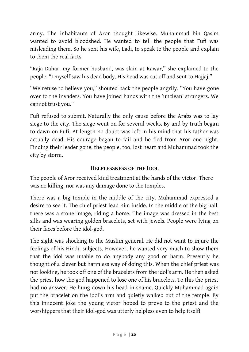army. The inhabitants of Aror thought likewise. Muhammad bin Qasim wanted to avoid bloodshed. He wanted to tell the people that Fufi was misleading them. So he sent his wife, Ladi, to speak to the people and explain to them the real facts.

"Raja Dahar, my former husband, was slain at Rawar," she explained to the people. "I myself saw his dead body. His head was cut off and sent to Hajjaj."

"We refuse to believe you," shouted back the people angrily. "You have gone over to the invaders. You have joined hands with the 'unclean' strangers. We cannot trust you."

Fufi refused to submit. Naturally the only cause before the Arabs was to lay siege to the city. The siege went on for several weeks. By and by truth began to dawn on Fufi. At length no doubt was left in his mind that his father was actually dead. His courage began to fail and he fled from Aror one night. Finding their leader gone, the people, too, lost heart and Muhammad took the city by storm.

#### **HELPLESSNESS OF THE IDOL**

<span id="page-26-0"></span>The people of Aror received kind treatment at the hands of the victor. There was no killing, nor was any damage done to the temples.

There was a big temple in the middle of the city. Muhammad expressed a desire to see it. The chief priest lead him inside. In the middle of the big hall, there was a stone image, riding a horse. The image was dressed in the best silks and was wearing golden bracelets, set with jewels. People were lying on their faces before the idol-god.

The sight was shocking to the Muslim general. He did not want to injure the feelings of his Hindu subjects. However, he wanted very much to show them that the idol was unable to do anybody any good or harm. Presently he thought of a clever but harmless way of doing this. When the chief priest was not looking, he took off one of the bracelets from the idol's arm. He then asked the priest how the god happened to lose one of his bracelets. To this the priest had no answer. He hung down his head in shame. Quickly Muhammad again put the bracelet on the idol's arm and quietly walked out of the temple. By this innocent joke the young victor hoped to prove to the priest and the worshippers that their idol-god was utterly helpless even to help itself!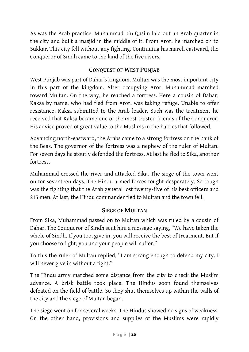As was the Arab practice, Muhammad bin Qasim laid out an Arab quarter in the city and built a masjid in the middle of it. From Aror, he marched on to Sukkar. This city fell without any fighting. Continuing his march eastward, the Conqueror of Sindh came to the land of the five rivers.

## **CONQUEST OF WEST PUNJAB**

<span id="page-27-0"></span>West Punjab was part of Dahar's kingdom. Multan was the most important city in this part of the kingdom. After occupying Aror, Muhammad marched toward Multan. On the way, he reached a fortress. Here a cousin of Dahar, Kaksa by name, who had fled from Aror, was taking refuge. Unable to offer resistance, Kaksa submitted to the Arab leader. Such was the treatment he received that Kaksa became one of the most trusted friends of the Conqueror. His advice proved of great value to the Muslims in the battles that followed.

Advancing north-eastward, the Arabs came to a strong fortress on the bank of the Beas. The governor of the fortress was a nephew of the ruler of Multan. For seven days he stoutly defended the fortress. At last he fled to Sika, another fortress.

Muhammad crossed the river and attacked Sika. The siege of the town went on for seventeen days. The Hindu armed forces fought desperately. So tough was the fighting that the Arab general lost twenty-five of his best officers and 215 men. At last, the Hindu commander fled to Multan and the town fell.

## **SIEGE OF MULTAN**

<span id="page-27-1"></span>From Sika, Muhammad passed on to Multan which was ruled by a cousin of Dahar. The Conqueror of Sindh sent him a message saying, "We have taken the whole of Sindh. If you too, give in, you will receive the best of treatment. But if you choose to fight, you and your people will suffer."

To this the ruler of Multan replied, "I am strong enough to defend my city. I will never give in without a fight."

The Hindu army marched some distance from the city to check the Muslim advance. A brisk battle took place. The Hindus soon found themselves defeated on the field of battle. So they shut themselves up within the walls of the city and the siege of Multan began.

The siege went on for several weeks. The Hindus showed no signs of weakness. On the other hand, provisions and supplies of the Muslims were rapidly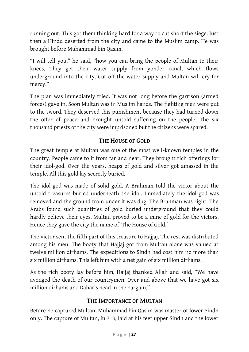running out. This got them thinking hard for a way to cut short the siege. Just then a Hindu deserted from the city and came to the Muslim camp. He was brought before Muhammad bin Qasim.

"I will tell you," he said, "how you can bring the people of Multan to their knees. They get their water supply from yonder canal, which flows underground into the city. Cut off the water supply and Multan will cry for mercy."

The plan was immediately tried. It was not long before the garrison (armed forces) gave in. Soon Multan was in Muslim hands. The fighting men were put to the sword. They deserved this punishment because they had turned down the offer of peace and brought untold suffering on the people. The six thousand priests of the city were imprisoned but the citizens were spared.

## **THE HOUSE OF GOLD**

<span id="page-28-0"></span>The great temple at Multan was one of the most well-known temples in the country. People came to it from far and near. They brought rich offerings for their idol-god. Over the years, heaps of gold and silver got amassed in the temple. All this gold lay secretly buried.

The idol-god was made of solid gold. A Brahman told the victor about the untold treasures buried underneath the idol. Immediately the idol-god was removed and the ground from under it was dug. The Brahman was right. The Arabs found such quantities of gold buried underground that they could hardly believe their eyes. Multan proved to be a mine of gold for the victors. Hence they gave the city the name of 'The House of Gold.'

The victor sent the fifth part of this treasure to Hajjaj. The rest was distributed among his men. The booty that Hajjaj got from Multan alone was valued at twelve million dirhams. The expeditions to Sindh had cost him no more than six million dirhams. This left him with a net gain of six million dirhams.

As the rich booty lay before him, Hajjaj thanked Allah and said, "We have avenged the death of our countrymen. Over and above that we have got six million dirhams and Dahar's head in the bargain."

#### **THE IMPORTANCE OF MULTAN**

<span id="page-28-1"></span>Before he captured Multan, Muhammad bin Qasim was master of lower Sindh only. The capture of Multan, in 713, laid at his feet upper Sindh and the lower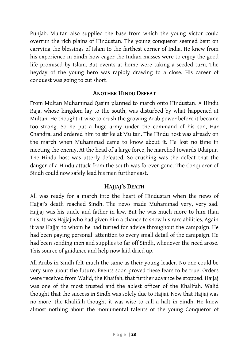Punjab. Multan also supplied the base from which the young victor could overrun the rich plains of Hindustan. The young conqueror seemed bent on carrying the blessings of Islam to the farthest corner of India. He knew from his experience in Sindh how eager the Indian masses were to enjoy the good life promised by Islam. But events at home were taking a seeded turn. The heyday of the young hero was rapidly drawing to a close. His career of conquest was going to cut short.

#### **ANOTHER HINDU DEFEAT**

<span id="page-29-0"></span>From Multan Muhammad Qasim planned to march onto Hindustan. A Hindu Raja, whose kingdom lay to the south, was disturbed by what happened at Multan. He thought it wise to crush the growing Arab power before it became too strong. So he put a huge army under the command of his son, Har Chandra, and ordered him to strike at Multan. The Hindu host was already on the march when Muhammad came to know about it. He lost no time in meeting the enemy. At the head of a large force, he marched towards Udaipur. The Hindu host was utterly defeated. So crushing was the defeat that the danger of a Hindu attack from the south was forever gone. The Conqueror of Sindh could now safely lead his men further east.

#### **HAJJAJ'S DEATH**

<span id="page-29-1"></span>All was ready for a march into the heart of Hindustan when the news of Hajjaj's death reached Sindh. The news made Muhammad very, very sad. Hajjaj was his uncle and father-in-law. But he was much more to him than this. It was Hajjaj who had given him a chance to show his rare abilities. Again it was Hajjaj to whom he had turned for advice throughout the campaign. He had been paying personal attention to every small detail of the campaign. He had been sending men and supplies to far off Sindh, whenever the need arose. This source of guidance and help now laid dried up.

All Arabs in Sindh felt much the same as their young leader. No one could be very sure about the future. Events soon proved these fears to be true. Orders were received from Walid, the Khaifah, that further advance be stopped. Hajjaj was one of the most trusted and the ablest officer of the Khalifah. Walid thought that the success in Sindh was solely due to Hajjaj. Now that Hajjaj was no more, the Khalifah thought it was wise to call a halt in Sindh. He knew almost nothing about the monumental talents of the young Conqueror of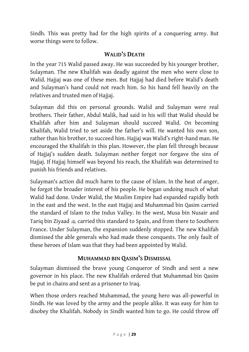Sindh. This was pretty bad for the high spirits of a conquering army. But worse things were to follow.

#### **WALID'S DEATH**

<span id="page-30-0"></span>In the year 715 Walid passed away. He was succeeded by his younger brother, Sulayman. The new Khalifah was deadly against the men who were close to Walid. Hajjaj was one of these men. But Hajjaj had died before Walid's death and Sulayman's hand could not reach him. So his hand fell heavily on the relatives and trusted men of Hajjaj.

Sulayman did this on personal grounds. Walid and Sulayman were real brothers. Their father, Abdul Malik, had said in his will that Walid should be Khalifah after him and Sulayman should succeed Walid. On becoming Khalifah, Walid tried to set aside the father's will. He wanted his own son, rather than his brother, to succeed him. Hajjaj was Walid's right-hand man. He encouraged the Khalifah in this plan. However, the plan fell through because of Hajjaj's sudden death. Sulayman neither forgot nor forgave the sins of Hajjaj. If Hajjaj himself was beyond his reach, the Khalifah was determined to punish his friends and relatives.

Sulayman's action did much harm to the cause of Islam. In the heat of anger, he forgot the broader interest of his people. He began undoing much of what Walid had done. Under Walid, the Muslim Empire had expanded rapidly both in the east and the west. In the east Hajjaj and Muhammad bin Qasim carried the standard of Islam to the Indus Valley. In the west, Musa bin Nusair and Tariq bin Ziyaad  $\triangle$  carried this standard to Spain, and from there to Southern France. Under Sulayman, the expansion suddenly stopped. The new Khalifah dismissed the able generals who had made these conquests. The only fault of these heroes of Islam was that they had been appointed by Walid.

## **MUHAMMAD BIN QASIM'S DISMISSAL**

<span id="page-30-1"></span>Sulayman dismissed the brave young Conqueror of Sindh and sent a new governor in his place. The new Khalifah ordered that Muhammad bin Qasim be put in chains and sent as a prisoner to Iraq.

When those orders reached Muhammad, the young hero was all-powerful in Sindh. He was loved by the army and the people alike. It was easy for him to disobey the Khalifah. Nobody in Sindh wanted him to go. He could throw off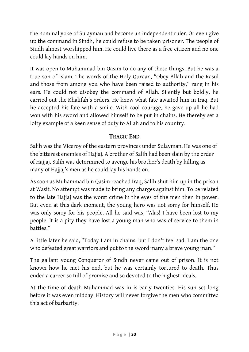the nominal yoke of Sulayman and become an independent ruler. Or even give up the command in Sindh, he could refuse to be taken prisoner. The people of Sindh almost worshipped him. He could live there as a free citizen and no one could lay hands on him.

It was open to Muhammad bin Qasim to do any of these things. But he was a true son of Islam. The words of the Holy Quraan, "Obey Allah and the Rasul and those from among you who have been raised to authority," rang in his ears. He could not disobey the command of Allah. Silently but boldly, he carried out the Khalifah's orders. He knew what fate awaited him in Iraq. But he accepted his fate with a smile. With cool courage, he gave up all he had won with his sword and allowed himself to be put in chains. He thereby set a lofty example of a keen sense of duty to Allah and to his country.

## **TRAGIC END**

<span id="page-31-0"></span>Salih was the Viceroy of the eastern provinces under Sulayman. He was one of the bitterest enemies of Hajjaj. A brother of Salih had been slain by the order of Hajjaj. Salih was determined to avenge his brother's death by killing as many of Hajjaj's men as he could lay his hands on.

As soon as Muhammad bin Qasim reached Iraq, Salih shut him up in the prison at Wasit. No attempt was made to bring any charges against him. To be related to the late Hajjaj was the worst crime in the eyes of the men then in power. But even at this dark moment, the young hero was not sorry for himself. He was only sorry for his people. All he said was, "Alas! I have been lost to my people. It is a pity they have lost a young man who was of service to them in battles."

A little later he said, "Today I am in chains, but I don't feel sad. I am the one who defeated great warriors and put to the sword many a brave young man."

The gallant young Conqueror of Sindh never came out of prison. It is not known how he met his end, but he was certainly tortured to death. Thus ended a career so full of promise and so devoted to the highest ideals.

At the time of death Muhammad was in is early twenties. His sun set long before it was even midday. History will never forgive the men who committed this act of barbarity.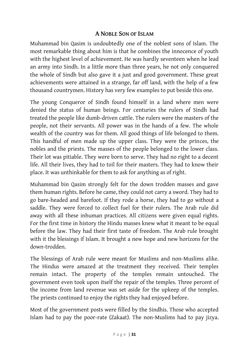#### **A NOBLE SON OF ISLAM**

<span id="page-32-0"></span>Muhammad bin Qasim is undoubtedly one of the noblest sons of Islam. The most remarkable thing about him is that he combines the innocence of youth with the highest level of achievement. He was hardly seventeen when he lead an army into Sindh. In a little more than three years, he not only conquered the whole of Sindh but also gave it a just and good government. These great achievements were attained in a strange, far off land, with the help of a few thousand countrymen. History has very few examples to put beside this one.

The young Conqueror of Sindh found himself in a land where men were denied the status of human beings. For centuries the rulers of Sindh had treated the people like dumb-driven cattle. The rulers were the masters of the people, not their servants. All power was in the hands of a few. The whole wealth of the country was for them. All good things of life belonged to them. This handful of men made up the upper class. They were the princes, the nobles and the priests. The masses of the people belonged to the lower class. Their lot was pitiable. They were born to serve. They had no right to a decent life. All their lives, they had to toil for their masters. They had to know their place. It was unthinkable for them to ask for anything as of right.

Muhammad bin Qasim strongly felt for the down trodden masses and gave them human rights. Before he came, they could not carry a sword. They had to go bare-headed and barefoot. If they rode a horse, they had to go without a saddle. They were forced to collect fuel for their rulers. The Arab rule did away with all these inhuman practices. All citizens were given equal rights. For the first time in history the Hindu masses knew what it meant to be equal before the law. They had their first taste of freedom. The Arab rule brought with it the blessings if Islam. It brought a new hope and new horizons for the down-trodden.

The blessings of Arab rule were meant for Muslims and non-Muslims alike. The Hindus were amazed at the treatment they received. Their temples remain intact. The property of the temples remain untouched. The government even took upon itself the repair of the temples. Three percent of the income from land revenue was set aside for the upkeep of the temples. The priests continued to enjoy the rights they had enjoyed before.

Most of the government posts were filled by the Sindhis. Those who accepted Islam had to pay the poor-rate (Zakaat). The non-Muslims had to pay jizya.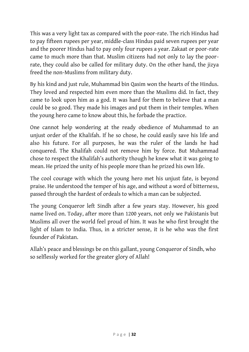This was a very light tax as compared with the poor-rate. The rich Hindus had to pay fifteen rupees per year, middle-class Hindus paid seven rupees per year and the poorer Hindus had to pay only four rupees a year. Zakaat or poor-rate came to much more than that. Muslim citizens had not only to lay the poorrate, they could also be called for military duty. On the other hand, the jizya freed the non-Muslims from military duty.

By his kind and just rule, Muhammad bin Qasim won the hearts of the Hindus. They loved and respected him even more than the Muslims did. In fact, they came to look upon him as a god. It was hard for them to believe that a man could be so good. They made his images and put them in their temples. When the young hero came to know about this, he forbade the practice.

One cannot help wondering at the ready obedience of Muhammad to an unjust order of the Khalifah. If he so chose, he could easily save his life and also his future. For all purposes, he was the ruler of the lands he had conquered. The Khalifah could not remove him by force. But Muhammad chose to respect the Khalifah's authority though he knew what it was going to mean. He prized the unity of his people more than he prized his own life.

The cool courage with which the young hero met his unjust fate, is beyond praise. He understood the temper of his age, and without a word of bitterness, passed through the hardest of ordeals to which a man can be subjected.

The young Conqueror left Sindh after a few years stay. However, his good name lived on. Today, after more than 1200 years, not only we Pakistanis but Muslims all over the world feel proud of him. It was he who first brought the light of Islam to India. Thus, in a stricter sense, it is he who was the first founder of Pakistan.

Allah's peace and blessings be on this gallant, young Conqueror of Sindh, who so selflessly worked for the greater glory of Allah!